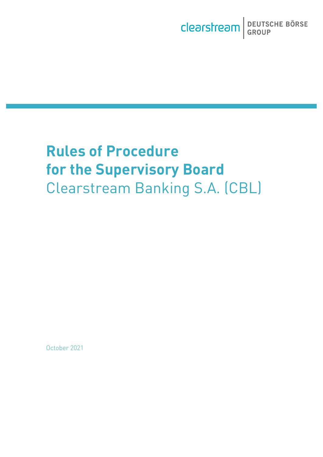# **Rules of Procedure for the Supervisory Board** Clearstream Banking S.A. (CBL)

October 2021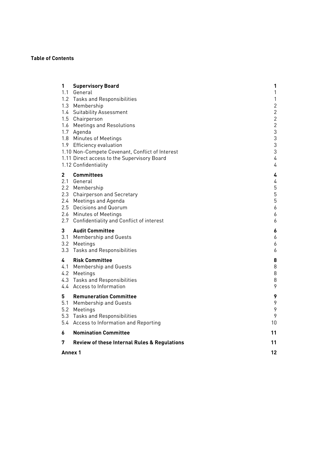#### **Table of Contents**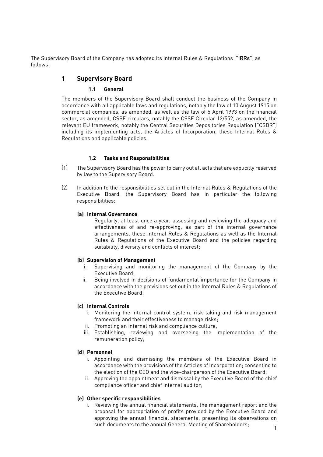<span id="page-2-1"></span><span id="page-2-0"></span>The Supervisory Board of the Company has adopted its Internal Rules & Regulations ("IRRs") as follows:

# **1 Supervisory Board**

#### **1.1 General**

The members of the Supervisory Board shall conduct the business of the Company in accordance with all applicable laws and regulations, notably the law of 10 August 1915 on commercial companies, as amended, as well as the law of 5 April 1993 on the financial sector, as amended, CSSF circulars, notably the CSSF Circular 12/552, as amended, the relevant EU framework, notably the Central Securities Depositories Regulation ("CSDR") including its implementing acts, the Articles of Incorporation, these Internal Rules & Regulations and applicable policies.

#### **1.2 Tasks and Responsibilities**

- <span id="page-2-2"></span>(1) The Supervisory Board has the power to carry out all acts that are explicitly reserved by law to the Supervisory Board.
- (2) In addition to the responsibilities set out in the Internal Rules & Regulations of the Executive Board, the Supervisory Board has in particular the following responsibilities:

#### **(a) Internal Governance**

Regularly, at least once a year, assessing and reviewing the adequacy and effectiveness of and re-approving, as part of the internal governance arrangements, these Internal Rules & Regulations as well as the Internal Rules & Regulations of the Executive Board and the policies regarding suitability, diversity and conflicts of interest;

#### **(b) Supervision of Management**

- i. Supervising and monitoring the management of the Company by the Executive Board;
- ii. Being involved in decisions of fundamental importance for the Company in accordance with the provisions set out in the Internal Rules & Regulations of the Executive Board;

#### **(c) Internal Controls**

- i. Monitoring the internal control system, risk taking and risk management framework and their effectiveness to manage risks;
- ii. Promoting an internal risk and compliance culture;
- iii. Establishing, reviewing and overseeing the implementation of the remuneration policy;

#### **(d) Personnel**

- i. Appointing and dismissing the members of the Executive Board in accordance with the provisions of the Articles of Incorporation; consenting to the election of the CEO and the vice-chairperson of the Executive Board;
- ii. Approving the appointment and dismissal by the Executive Board of the chief compliance officer and chief internal auditor;

#### **(e) Other specific responsibilities**

i. Reviewing the annual financial statements, the management report and the proposal for appropriation of profits provided by the Executive Board and approving the annual financial statements; presenting its observations on such documents to the annual General Meeting of Shareholders;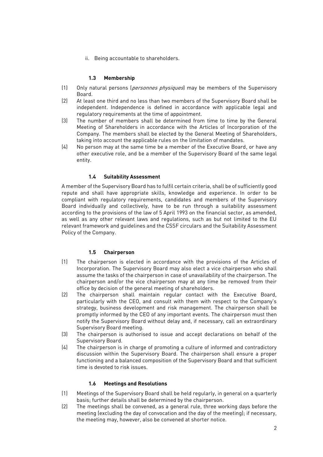ii. Being accountable to shareholders.

#### **1.3 Membership**

- <span id="page-3-0"></span>(1) Only natural persons (personnes physiques) may be members of the Supervisory Board.
- (2) At least one third and no less than two members of the Supervisory Board shall be independent. Independence is defined in accordance with applicable legal and regulatory requirements at the time of appointment.
- (3) The number of members shall be determined from time to time by the General Meeting of Shareholders in accordance with the Articles of Incorporation of the Company. The members shall be elected by the General Meeting of Shareholders, taking into account the applicable rules on the limitation of mandates.
- (4) No person may at the same time be a member of the Executive Board, or have any other executive role, and be a member of the Supervisory Board of the same legal entity.

#### **1.4 Suitability Assessment**

<span id="page-3-1"></span>A member of the Supervisory Board has to fulfil certain criteria, shall be of sufficiently good repute and shall have appropriate skills, knowledge and experience. In order to be compliant with regulatory requirements, candidates and members of the Supervisory Board individually and collectively, have to be run through a suitability assessment according to the provisions of the law of 5 April 1993 on the financial sector, as amended, as well as any other relevant laws and regulations, such as but not limited to the EU relevant framework and guidelines and the CSSF circulars and the Suitability Assessment Policy of the Company.

#### **1.5 Chairperson**

- <span id="page-3-2"></span>(1) The chairperson is elected in accordance with the provisions of the Articles of Incorporation. The Supervisory Board may also elect a vice chairperson who shall assume the tasks of the chairperson in case of unavailability of the chairperson. The chairperson and/or the vice chairperson may at any time be removed from their office by decision of the general meeting of shareholders.
- (2) The chairperson shall maintain regular contact with the Executive Board, particularly with the CEO, and consult with them with respect to the Company's strategy, business development and risk management. The chairperson shall be promptly informed by the CEO of any important events. The chairperson must then notify the Supervisory Board without delay and, if necessary, call an extraordinary Supervisory Board meeting.
- (3) The chairperson is authorised to issue and accept declarations on behalf of the Supervisory Board.
- (4) The chairperson is in charge of promoting a culture of informed and contradictory discussion within the Supervisory Board. The chairperson shall ensure a proper functioning and a balanced composition of the Supervisory Board and that sufficient time is devoted to risk issues.

#### **1.6 Meetings and Resolutions**

- <span id="page-3-3"></span>(1) Meetings of the Supervisory Board shall be held regularly, in general on a quarterly basis; further details shall be determined by the chairperson.
- (2) The meetings shall be convened, as a general rule, three working days before the meeting (excluding the day of convocation and the day of the meeting); if necessary, the meeting may, however, also be convened at shorter notice.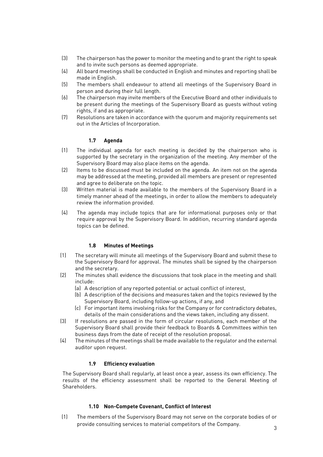- (3) The chairperson has the power to monitor the meeting and to grant the right to speak and to invite such persons as deemed appropriate.
- (4) All board meetings shall be conducted in English and minutes and reporting shall be made in English.
- (5) The members shall endeavour to attend all meetings of the Supervisory Board in person and during their full length.
- (6) The chairperson may invite members of the Executive Board and other individuals to be present during the meetings of the Supervisory Board as guests without voting rights, if and as appropriate.
- (7) Resolutions are taken in accordance with the quorum and majority requirements set out in the Articles of Incorporation.

#### **1.7 Agenda**

- <span id="page-4-0"></span>(1) The individual agenda for each meeting is decided by the chairperson who is supported by the secretary in the organization of the meeting. Any member of the Supervisory Board may also place items on the agenda.
- (2) Items to be discussed must be included on the agenda. An item not on the agenda may be addressed at the meeting, provided all members are present or represented and agree to deliberate on the topic.
- (3) Written material is made available to the members of the Supervisory Board in a timely manner ahead of the meetings, in order to allow the members to adequately review the information provided.
- (4) The agenda may include topics that are for informational purposes only or that require approval by the Supervisory Board. In addition, recurring standard agenda topics can be defined.

#### **1.8 Minutes of Meetings**

- <span id="page-4-1"></span>(1) The secretary will minute all meetings of the Supervisory Board and submit these to the Supervisory Board for approval. The minutes shall be signed by the chairperson and the secretary.
- (2) The minutes shall evidence the discussions that took place in the meeting and shall include:
	- (a) A description of any reported potential or actual conflict of interest,
	- (b) A description of the decisions and measures taken and the topics reviewed by the Supervisory Board, including follow-up actions, if any, and
	- (c) For important items involving risks for the Company or for contradictory debates, details of the main considerations and the views taken, including any dissent.
- (3) If resolutions are passed in the form of circular resolutions, each member of the Supervisory Board shall provide their feedback to Boards & Committees within ten business days from the date of receipt of the resolution proposal.
- (4) The minutes of the meetings shall be made available to the regulator and the external auditor upon request.

#### **1.9 Efficiency evaluation**

<span id="page-4-2"></span>The Supervisory Board shall regularly, at least once a year, assess its own efficiency. The results of the efficiency assessment shall be reported to the General Meeting of Shareholders.

#### **1.10 Non-Compete Covenant, Conflict of Interest**

<span id="page-4-3"></span>(1) The members of the Supervisory Board may not serve on the corporate bodies of or provide consulting services to material competitors of the Company.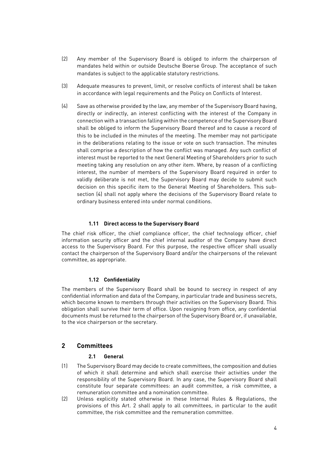- (2) Any member of the Supervisory Board is obliged to inform the chairperson of mandates held within or outside Deutsche Boerse Group. The acceptance of such mandates is subject to the applicable statutory restrictions.
- (3) Adequate measures to prevent, limit, or resolve conflicts of interest shall be taken in accordance with legal requirements and the Policy on Conflicts of Interest.
- (4) Save as otherwise provided by the law, any member of the Supervisory Board having, directly or indirectly, an interest conflicting with the interest of the Company in connection with a transaction falling within the competence of the Supervisory Board shall be obliged to inform the Supervisory Board thereof and to cause a record of this to be included in the minutes of the meeting. The member may not participate in the deliberations relating to the issue or vote on such transaction. The minutes shall comprise a description of how the conflict was managed. Any such conflict of interest must be reported to the next General Meeting of Shareholders prior to such meeting taking any resolution on any other item. Where, by reason of a conflicting interest, the number of members of the Supervisory Board required in order to validly deliberate is not met, the Supervisory Board may decide to submit such decision on this specific item to the General Meeting of Shareholders. This subsection (4) shall not apply where the decisions of the Supervisory Board relate to ordinary business entered into under normal conditions.

#### **1.11 Direct access to the Supervisory Board**

<span id="page-5-0"></span>The chief risk officer, the chief compliance officer, the chief technology officer, chief information security officer and the chief internal auditor of the Company have direct access to the Supervisory Board. For this purpose, the respective officer shall usually contact the chairperson of the Supervisory Board and/or the chairpersons of the relevant committee, as appropriate.

#### **1.12 Confidentiality**

<span id="page-5-1"></span>The members of the Supervisory Board shall be bound to secrecy in respect of any confidential information and data of the Company, in particular trade and business secrets, which become known to members through their activities on the Supervisory Board. This obligation shall survive their term of office. Upon resigning from office, any confidential documents must be returned to the chairperson of the Supervisory Board or, if unavailable, to the vice chairperson or the secretary.

#### <span id="page-5-2"></span>**2 Committees**

#### **2.1 General**

- <span id="page-5-3"></span>(1) The Supervisory Board may decide to create committees, the composition and duties of which it shall determine and which shall exercise their activities under the responsibility of the Supervisory Board. In any case, the Supervisory Board shall constitute four separate committees: an audit committee, a risk committee, a remuneration committee and a nomination committee.
- (2) Unless explicitly stated otherwise in these Internal Rules & Regulations, the provisions of this Art. 2 shall apply to all committees, in particular to the audit committee, the risk committee and the remuneration committee.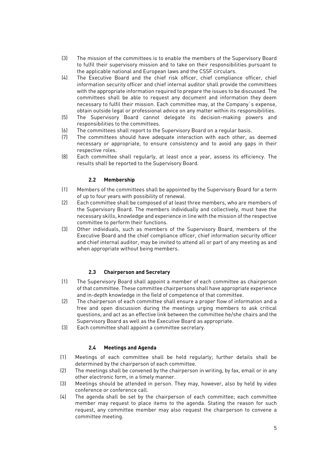- (3) The mission of the committees is to enable the members of the Supervisory Board to fulfil their supervisory mission and to take on their responsibilities pursuant to the applicable national and European laws and the CSSF circulars.
- (4) The Executive Board and the chief risk officer, chief compliance officer, chief information security officer and chief internal auditor shall provide the committees with the appropriate information required to prepare the issues to be discussed. The committees shall be able to request any document and information they deem necessary to fulfil their mission. Each committee may, at the Company`s expense, obtain outside legal or professional advice on any matter within its responsibilities.
- (5) The Supervisory Board cannot delegate its decision-making powers and responsibilities to the committees.
- (6) The committees shall report to the Supervisory Board on a regular basis.
- (7) The committees should have adequate interaction with each other, as deemed necessary or appropriate, to ensure consistency and to avoid any gaps in their respective roles.
- (8) Each committee shall regularly, at least once a year, assess its efficiency. The results shall be reported to the Supervisory Board.

#### **2.2 Membership**

- <span id="page-6-0"></span>(1) Members of the committees shall be appointed by the Supervisory Board for a term of up to four years with possibility of renewal.
- (2) Each committee shall be composed of at least three members, who are members of the Supervisory Board. The members individually and collectively, must have the necessary skills, knowledge and experience in line with the mission of the respective committee to perform their functions.
- (3) Other individuals, such as members of the Supervisory Board, members of the Executive Board and the chief compliance officer, chief information security officer and chief internal auditor, may be invited to attend all or part of any meeting as and when appropriate without being members.

#### **2.3 Chairperson and Secretary**

- <span id="page-6-1"></span>(1) The Supervisory Board shall appoint a member of each committee as chairperson of that committee. These committee chairpersons shall have appropriate experience and in-depth knowledge in the field of competence of that committee.
- (2) The chairperson of each committee shall ensure a proper flow of information and a free and open discussion during the meetings urging members to ask critical questions, and act as an effective link between the committee he/she chairs and the Supervisory Board as well as the Executive Board as appropriate.
- (3) Each committee shall appoint a committee secretary.

#### **2.4 Meetings and Agenda**

- <span id="page-6-2"></span>(1) Meetings of each committee shall be held regularly; further details shall be determined by the chairperson of each committee.
- (2) The meetings shall be convened by the chairperson in writing, by fax, email or in any other electronic form, in a timely manner.
- (3) Meetings should be attended in person. They may, however, also by held by video conference or conference call.
- (4) The agenda shall be set by the chairperson of each committee; each committee member may request to place items to the agenda. Stating the reason for such request, any committee member may also request the chairperson to convene a committee meeting.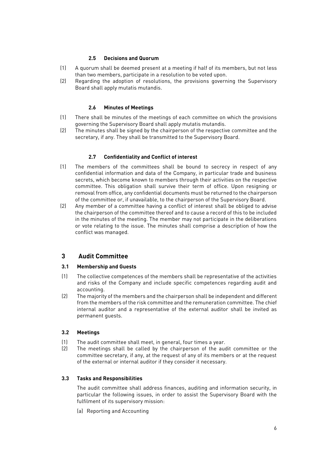#### **2.5 Decisions and Quorum**

- <span id="page-7-0"></span>(1) A quorum shall be deemed present at a meeting if half of its members, but not less than two members, participate in a resolution to be voted upon.
- (2) Regarding the adoption of resolutions, the provisions governing the Supervisory Board shall apply mutatis mutandis.

#### **2.6 Minutes of Meetings**

- <span id="page-7-1"></span>(1) There shall be minutes of the meetings of each committee on which the provisions governing the Supervisory Board shall apply mutatis mutandis.
- (2) The minutes shall be signed by the chairperson of the respective committee and the secretary, if any. They shall be transmitted to the Supervisory Board.

#### **2.7 Confidentiality and Conflict of interest**

- <span id="page-7-2"></span>(1) The members of the committees shall be bound to secrecy in respect of any confidential information and data of the Company, in particular trade and business secrets, which become known to members through their activities on the respective committee. This obligation shall survive their term of office. Upon resigning or removal from office, any confidential documents must be returned to the chairperson of the committee or, if unavailable, to the chairperson of the Supervisory Board.
- (2) Any member of a committee having a conflict of interest shall be obliged to advise the chairperson of the committee thereof and to cause a record of this to be included in the minutes of the meeting. The member may not participate in the deliberations or vote relating to the issue. The minutes shall comprise a description of how the conflict was managed.

# <span id="page-7-3"></span>**3 Audit Committee**

#### <span id="page-7-4"></span>**3.1 Membership and Guests**

- (1) The collective competences of the members shall be representative of the activities and risks of the Company and include specific competences regarding audit and accounting.
- (2) The majority of the members and the chairperson shall be independent and different from the members of the risk committee and the remuneration committee. The chief internal auditor and a representative of the external auditor shall be invited as permanent guests.

#### <span id="page-7-5"></span>**3.2 Meetings**

- (1) The audit committee shall meet, in general, four times a year.
- (2) The meetings shall be called by the chairperson of the audit committee or the committee secretary, if any, at the request of any of its members or at the request of the external or internal auditor if they consider it necessary.

#### <span id="page-7-6"></span>**3.3 Tasks and Responsibilities**

The audit committee shall address finances, auditing and information security, in particular the following issues, in order to assist the Supervisory Board with the fulfilment of its supervisory mission:

(a) Reporting and Accounting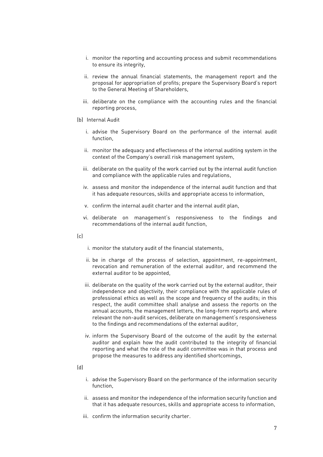- i. monitor the reporting and accounting process and submit recommendations to ensure its integrity,
- ii. review the annual financial statements, the management report and the proposal for appropriation of profits; prepare the Supervisory Board's report to the General Meeting of Shareholders,
- iii. deliberate on the compliance with the accounting rules and the financial reporting process,
- (b) Internal Audit
	- i. advise the Supervisory Board on the performance of the internal audit function,
	- ii. monitor the adequacy and effectiveness of the internal auditing system in the context of the Company's overall risk management system,
	- iii. deliberate on the quality of the work carried out by the internal audit function and compliance with the applicable rules and regulations,
	- iv. assess and monitor the independence of the internal audit function and that it has adequate resources, skills and appropriate access to information,
	- v. confirm the internal audit charter and the internal audit plan,
	- vi. deliberate on management's responsiveness to the findings and recommendations of the internal audit function,
- $(c)$
- i. monitor the statutory audit of the financial statements,
- ii. be in charge of the process of selection, appointment, re-appointment, revocation and remuneration of the external auditor, and recommend the external auditor to be appointed,
- iii. deliberate on the quality of the work carried out by the external auditor, their independence and objectivity, their compliance with the applicable rules of professional ethics as well as the scope and frequency of the audits; in this respect, the audit committee shall analyse and assess the reports on the annual accounts, the management letters, the long-form reports and, where relevant the non-audit services, deliberate on management's responsiveness to the findings and recommendations of the external auditor,
- iv. inform the Supervisory Board of the outcome of the audit by the external auditor and explain how the audit contributed to the integrity of financial reporting and what the role of the audit committee was in that process and propose the measures to address any identified shortcomings,
- (d)
- i. advise the Supervisory Board on the performance of the information security function,
- ii. assess and monitor the independence of the information security function and that it has adequate resources, skills and appropriate access to information,
- iii. confirm the information security charter.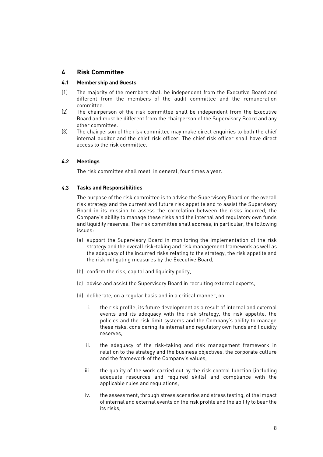# <span id="page-9-0"></span>**4 Risk Committee**

#### <span id="page-9-1"></span>**4.1 Membership and Guests**

- (1) The majority of the members shall be independent from the Executive Board and different from the members of the audit committee and the remuneration committee.
- (2) The chairperson of the risk committee shall be independent from the Executive Board and must be different from the chairperson of the Supervisory Board and any other committee.
- (3) The chairperson of the risk committee may make direct enquiries to both the chief internal auditor and the chief risk officer. The chief risk officer shall have direct access to the risk committee.

#### <span id="page-9-2"></span>**4.2 Meetings**

The risk committee shall meet, in general, four times a year.

#### <span id="page-9-3"></span>4.3 **Tasks and Responsibilities**

The purpose of the risk committee is to advise the Supervisory Board on the overall risk strategy and the current and future risk appetite and to assist the Supervisory Board in its mission to assess the correlation between the risks incurred, the Company's ability to manage these risks and the internal and regulatory own funds and liquidity reserves. The risk committee shall address, in particular, the following issues:

- (a) support the Supervisory Board in monitoring the implementation of the risk strategy and the overall risk-taking and risk management framework as well as the adequacy of the incurred risks relating to the strategy, the risk appetite and the risk mitigating measures by the Executive Board,
- (b) confirm the risk, capital and liquidity policy,
- (c) advise and assist the Supervisory Board in recruiting external experts,
- (d) deliberate, on a regular basis and in a critical manner, on
	- i. the risk profile, its future development as a result of internal and external events and its adequacy with the risk strategy, the risk appetite, the policies and the risk limit systems and the Company's ability to manage these risks, considering its internal and regulatory own funds and liquidity reserves,
	- ii. the adequacy of the risk-taking and risk management framework in relation to the strategy and the business objectives, the corporate culture and the framework of the Company's values,
	- iii. the quality of the work carried out by the risk control function (including adequate resources and required skills) and compliance with the applicable rules and regulations,
	- iv. the assessment, through stress scenarios and stress testing, of the impact of internal and external events on the risk profile and the ability to bear the its risks,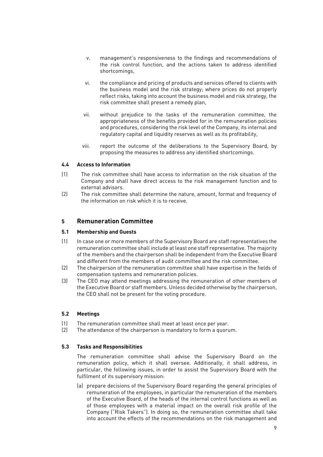- v. management's responsiveness to the findings and recommendations of the risk control function, and the actions taken to address identified shortcomings,
- vi. the compliance and pricing of products and services offered to clients with the business model and the risk strategy; where prices do not properly reflect risks, taking into account the business model and risk strategy, the risk committee shall present a remedy plan,
- vii. without prejudice to the tasks of the remuneration committee, the appropriateness of the benefits provided for in the remuneration policies and procedures, considering the risk level of the Company, its internal and regulatory capital and liquidity reserves as well as its profitability,
- viii. report the outcome of the deliberations to the Supervisory Board, by proposing the measures to address any identified shortcomings.

#### <span id="page-10-0"></span>**4.4 Access to Information**

- (1) The risk committee shall have access to information on the risk situation of the Company and shall have direct access to the risk management function and to external advisors.
- (2) The risk committee shall determine the nature, amount, format and frequency of the information on risk which it is to receive.

# <span id="page-10-1"></span>**5 Remuneration Committee**

#### <span id="page-10-2"></span>**5.1 Membership and Guests**

- (1) In case one or more members of the Supervisory Board are staff representatives the remuneration committee shall include at least one staff representative. The majority of the members and the chairperson shall be independent from the Executive Board and different from the members of audit committee and the risk committee.
- (2) The chairperson of the remuneration committee shall have expertise in the fields of compensation systems and remuneration policies.
- (3) The CEO may attend meetings addressing the remuneration of other members of the Executive Board or staff members. Unless decided otherwise by the chairperson, the CEO shall not be present for the voting procedure.

#### <span id="page-10-3"></span>**5.2 Meetings**

- (1) The remuneration committee shall meet at least once per year.
- (2) The attendance of the chairperson is mandatory to form a quorum.

#### <span id="page-10-4"></span>**5.3 Tasks and Responsibilities**

The remuneration committee shall advise the Supervisory Board on the remuneration policy, which it shall oversee. Additionally, it shall address, in particular, the following issues, in order to assist the Supervisory Board with the fulfilment of its supervisory mission:

(a) prepare decisions of the Supervisory Board regarding the general principles of remuneration of the employees, in particular the remuneration of the members of the Executive Board, of the heads of the internal control functions as well as of those employees with a material impact on the overall risk profile of the Company ("Risk Takers"). In doing so, the remuneration committee shall take into account the effects of the recommendations on the risk management and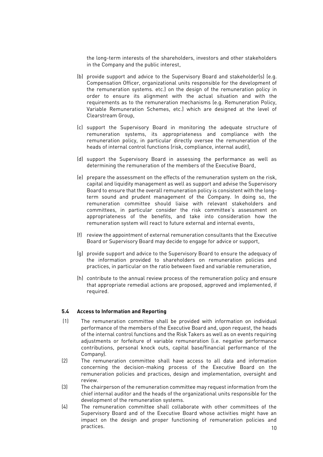the long-term interests of the shareholders, investors and other stakeholders in the Company and the public interest,

- (b) provide support and advice to the Supervisory Board and stakeholder(s) (e.g. Compensation Officer, organizational units responsible for the development of the remuneration systems. etc.) on the design of the remuneration policy in order to ensure its alignment with the actual situation and with the requirements as to the remuneration mechanisms (e.g. Remuneration Policy, Variable Remuneration Schemes, etc.) which are designed at the level of Clearstream Group,
- (c) support the Supervisory Board in monitoring the adequate structure of remuneration systems, its appropriateness and compliance with the remuneration policy, in particular directly oversee the remuneration of the heads of internal control functions (risk, compliance, internal audit),
- (d) support the Supervisory Board in assessing the performance as well as determining the remuneration of the members of the Executive Board,
- (e) prepare the assessment on the effects of the remuneration system on the risk, capital and liquidity management as well as support and advise the Supervisory Board to ensure that the overall remuneration policy is consistent with the longterm sound and prudent management of the Company. In doing so, the remuneration committee should liaise with relevant stakeholders and committees, in particular consider the risk committee's assessment on appropriateness of the benefits, and take into consideration how the remuneration system will react to future external and internal events,
- (f) review the appointment of external remuneration consultants that the Executive Board or Supervisory Board may decide to engage for advice or support,
- (g) provide support and advice to the Supervisory Board to ensure the adequacy of the information provided to shareholders on remuneration policies and practices, in particular on the ratio between fixed and variable remuneration,
- (h) contribute to the annual review process of the remuneration policy and ensure that appropriate remedial actions are proposed, approved and implemented, if required.

#### <span id="page-11-0"></span>**5.4 Access to Information and Reporting**

- (1) The remuneration committee shall be provided with information on individual performance of the members of the Executive Board and, upon request, the heads of the internal control functions and the Risk Takers as well as on events requiring adjustments or forfeiture of variable remuneration (i.e. negative performance contributions, personal knock outs, capital base/financial performance of the Company).
- (2) The remuneration committee shall have access to all data and information concerning the decision-making process of the Executive Board on the remuneration policies and practices, design and implementation, oversight and review.
- (3) The chairperson of the remuneration committee may request information from the chief internal auditor and the heads of the organizational units responsible for the development of the remuneration systems.
- 10 (4) The remuneration committee shall collaborate with other committees of the Supervisory Board and of the Executive Board whose activities might have an impact on the design and proper functioning of remuneration policies and practices.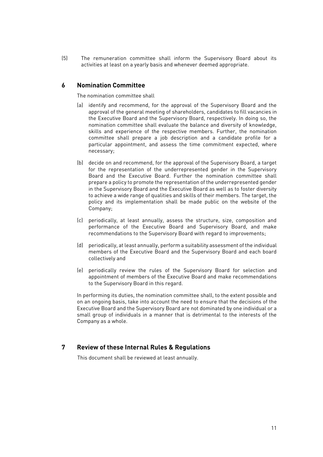(5) The remuneration committee shall inform the Supervisory Board about its activities at least on a yearly basis and whenever deemed appropriate.

### <span id="page-12-0"></span>**6 Nomination Committee**

The nomination committee shall

- (a) identify and recommend, for the approval of the Supervisory Board and the approval of the general meeting of shareholders, candidates to fill vacancies in the Executive Board and the Supervisory Board, respectively. In doing so, the nomination committee shall evaluate the balance and diversity of knowledge, skills and experience of the respective members. Further, the nomination committee shall prepare a job description and a candidate profile for a particular appointment, and assess the time commitment expected, where necessary;
- (b) decide on and recommend, for the approval of the Supervisory Board, a target for the representation of the underrepresented gender in the Supervisory Board and the Executive Board. Further the nomination committee shall prepare a policy to promote the representation of the underrepresented gender in the Supervisory Board and the Executive Board as well as to foster diversity to achieve a wide range of qualities and skills of their members. The target, the policy and its implementation shall be made public on the website of the Company;
- (c) periodically, at least annually, assess the structure, size, composition and performance of the Executive Board and Supervisory Board, and make recommendations to the Supervisory Board with regard to improvements;
- (d) periodically, at least annually, perform a suitability assessment of the individual members of the Executive Board and the Supervisory Board and each board collectively and
- (e) periodically review the rules of the Supervisory Board for selection and appointment of members of the Executive Board and make recommendations to the Supervisory Board in this regard.

In performing its duties, the nomination committee shall, to the extent possible and on an ongoing basis, take into account the need to ensure that the decisions of the Executive Board and the Supervisory Board are not dominated by one individual or a small group of individuals in a manner that is detrimental to the interests of the Company as a whole.

# <span id="page-12-1"></span>**7 Review of these Internal Rules & Regulations**

This document shall be reviewed at least annually.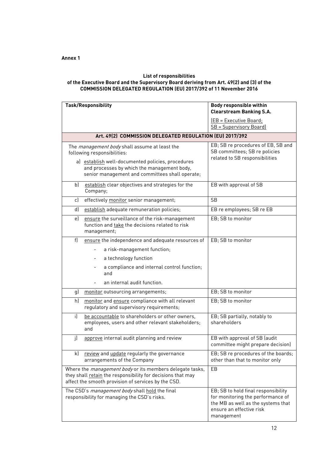#### <span id="page-13-0"></span>**List of responsibilities of the Executive Board and the Supervisory Board deriving from Art. 49(2) and (3) of the COMMISSION DELEGATED REGULATION (EU) 2017/392 of 11 November 2016**

| <b>Task/Responsibility</b>                                                                                                                                                                                                                 | <b>Body responsible within</b><br><b>Clearstream Banking S.A.</b>                                                                                        |
|--------------------------------------------------------------------------------------------------------------------------------------------------------------------------------------------------------------------------------------------|----------------------------------------------------------------------------------------------------------------------------------------------------------|
|                                                                                                                                                                                                                                            | (EB = Executive Board;<br>SB = Supervisory Board)                                                                                                        |
| Art. 49(2) COMMISSION DELEGATED REGULATION (EU) 2017/392                                                                                                                                                                                   |                                                                                                                                                          |
| The <i>management body</i> shall assume at least the<br>following responsibilities:<br>a) establish well-documented policies, procedures<br>and processes by which the management body,<br>senior management and committees shall operate; | EB; SB re procedures of EB, SB and<br>SB committees; SB re policies<br>related to SB responsibilities                                                    |
| establish clear objectives and strategies for the<br>b<br>Company;                                                                                                                                                                         | EB with approval of SB                                                                                                                                   |
| effectively monitor senior management;<br>c)                                                                                                                                                                                               | <b>SB</b>                                                                                                                                                |
| d)<br>establish adequate remuneration policies;                                                                                                                                                                                            | EB re employees; SB re EB                                                                                                                                |
| ensure the surveillance of the risk-management<br>e)<br>function and take the decisions related to risk<br>management;                                                                                                                     | EB; SB to monitor                                                                                                                                        |
| f)<br>ensure the independence and adequate resources of                                                                                                                                                                                    | EB; SB to monitor                                                                                                                                        |
| a risk-management function;                                                                                                                                                                                                                |                                                                                                                                                          |
| a technology function                                                                                                                                                                                                                      |                                                                                                                                                          |
| a compliance and internal control function;<br>and                                                                                                                                                                                         |                                                                                                                                                          |
| an internal audit function.                                                                                                                                                                                                                |                                                                                                                                                          |
| monitor outsourcing arrangements;<br>g)                                                                                                                                                                                                    | EB; SB to monitor                                                                                                                                        |
| h)<br>monitor and ensure compliance with all relevant<br>regulatory and supervisory requirements;                                                                                                                                          | EB; SB to monitor                                                                                                                                        |
| be accountable to shareholders or other owners,<br>i)<br>employees, users and other relevant stakeholders;<br>and                                                                                                                          | EB; SB partially, notably to<br>shareholders                                                                                                             |
| j)<br>approve internal audit planning and review                                                                                                                                                                                           | EB with approval of SB (audit<br>committee might prepare decision)                                                                                       |
| review and update regularly the governance<br>k)<br>arrangements of the Company                                                                                                                                                            | EB; SB re procedures of the boards;<br>other than that to monitor only                                                                                   |
| Where the <i>management body</i> or its members delegate tasks,<br>they shall retain the responsibility for decisions that may<br>affect the smooth provision of services by the CSD.                                                      | EB                                                                                                                                                       |
| The CSD's management body shall hold the final<br>responsibility for managing the CSD's risks.                                                                                                                                             | EB; SB to hold final responsibility<br>for monitoring the performance of<br>the MB as well as the systems that<br>ensure an effective risk<br>management |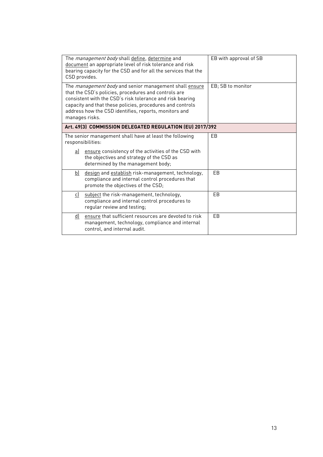| The <i>management body</i> shall define, determine and<br>document an appropriate level of risk tolerance and risk<br>bearing capacity for the CSD and for all the services that the<br>CSD provides.                                                                                                                      | EB with approval of SB |  |
|----------------------------------------------------------------------------------------------------------------------------------------------------------------------------------------------------------------------------------------------------------------------------------------------------------------------------|------------------------|--|
| The <i>management body</i> and senior management shall ensure<br>that the CSD's policies, procedures and controls are<br>consistent with the CSD's risk tolerance and risk bearing<br>capacity and that these policies, procedures and controls<br>address how the CSD identifies, reports, monitors and<br>manages risks. | EB; SB to monitor      |  |
| Art. 49(3) COMMISSION DELEGATED REGULATION (EU) 2017/392                                                                                                                                                                                                                                                                   |                        |  |
| The senior management shall have at least the following<br>responsibilities:                                                                                                                                                                                                                                               | EB                     |  |
| ensure consistency of the activities of the CSD with<br>aJ<br>the objectives and strategy of the CSD as<br>determined by the management body;                                                                                                                                                                              |                        |  |
| design and establish risk-management, technology,<br>b)<br>compliance and internal control procedures that<br>promote the objectives of the CSD;                                                                                                                                                                           | F <sub>B</sub>         |  |
| subject the risk-management, technology,<br>c)<br>compliance and internal control procedures to<br>regular review and testing;                                                                                                                                                                                             | EB                     |  |
| ensure that sufficient resources are devoted to risk<br>d)<br>management, technology, compliance and internal<br>control, and internal audit.                                                                                                                                                                              | EB                     |  |